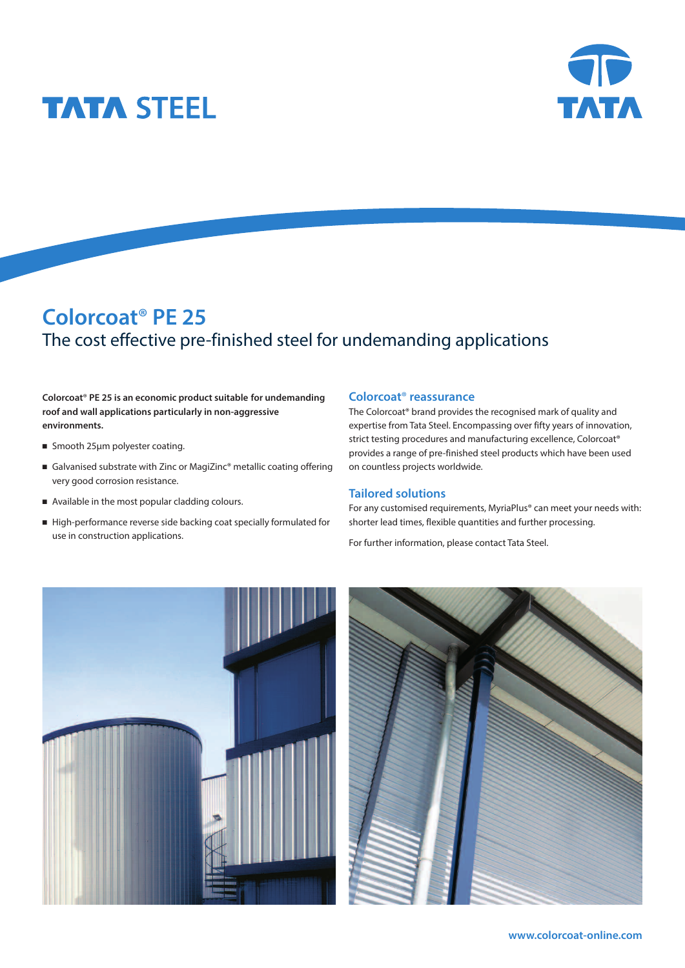



# **Colorcoat**® **PE 25** The cost effective pre-finished steel for undemanding applications

**Colorcoat**® **PE 25 is an economic product suitable for undemanding roof and wall applications particularly in non-aggressive environments.**

- Smooth 25µm polyester coating.
- Galvanised substrate with Zinc or MagiZinc® metallic coating offering very good corrosion resistance.
- Available in the most popular cladding colours.
- <sup>n</sup> High-performance reverse side backing coat specially formulated for use in construction applications.

#### **Colorcoat**® **reassurance**

The Colorcoat® brand provides the recognised mark of quality and expertise from Tata Steel. Encompassing over fifty years of innovation, strict testing procedures and manufacturing excellence, Colorcoat® provides a range of pre-finished steel products which have been used on countless projects worldwide.

### **Tailored solutions**

For any customised requirements, MyriaPlus® can meet your needs with: shorter lead times, flexible quantities and further processing.

For further information, please contact Tata Steel.